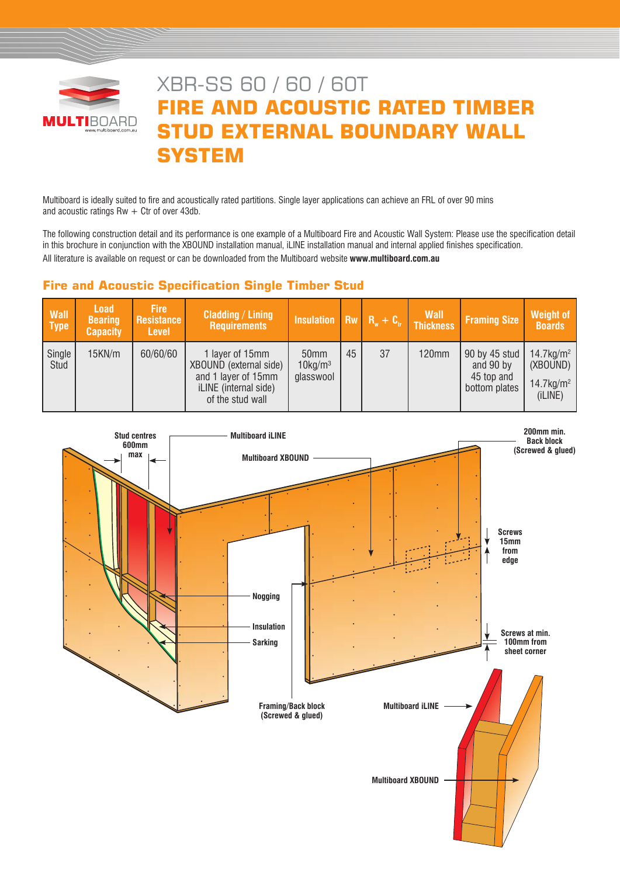

# XBR-SS 60 / 60 / 60T **FIRE AND ACOUSTIC RATED TIMBER STUD EXTERNAL BOUNDARY WALL SYSTEM**

Multiboard is ideally suited to fire and acoustically rated partitions. Single layer applications can achieve an FRL of over 90 mins and acoustic ratings  $Rw + C$ tr of over 43db.

The following construction detail and its performance is one example of a Multiboard Fire and Acoustic Wall System: Please use the specification detail in this brochure in conjunction with the XBOUND installation manual, iLINE installation manual and internal applied finishes specification. All literature is available on request or can be downloaded from the Multiboard website **www.multiboard.com.au**

# **Fire and Acoustic Specification Single Timber Stud**

| <b>Wall</b><br><b>Type</b> | <b>Load</b><br><b>Bearing</b><br><b>Capacity</b> | <b>Fire</b><br>Resistance<br><b>Level</b> | <b>Cladding / Lining</b><br><b>Requirements</b>                                                               | Insulation $\overline{R}_w + C_v$ Thickness             |    |    | <b>Wall</b>  | <b>Framing Size</b>                                       | Weight of<br><b>Boards</b>                                              |
|----------------------------|--------------------------------------------------|-------------------------------------------|---------------------------------------------------------------------------------------------------------------|---------------------------------------------------------|----|----|--------------|-----------------------------------------------------------|-------------------------------------------------------------------------|
| Single<br>Stud             | 15KN/m                                           | 60/60/60                                  | 1 layer of 15mm<br>XBOUND (external side)<br>and 1 layer of 15mm<br>iLINE (internal side)<br>of the stud wall | 50 <sub>mm</sub><br>$10$ kg/m <sup>3</sup><br>glasswool | 45 | 37 | <b>120mm</b> | 90 by 45 stud<br>and 90 by<br>45 top and<br>bottom plates | $14.7 \text{kg/m}^2$<br>(XBOUND)<br>$14.7$ kg/m <sup>2</sup><br>(iLINE) |